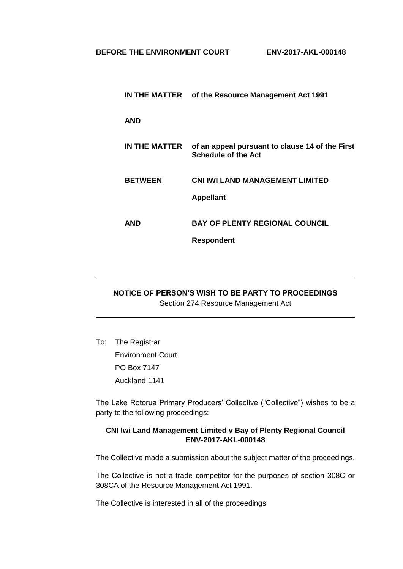|                | IN THE MATTER of the Resource Management Act 1991                             |
|----------------|-------------------------------------------------------------------------------|
| <b>AND</b>     |                                                                               |
| IN THE MATTER  | of an appeal pursuant to clause 14 of the First<br><b>Schedule of the Act</b> |
| <b>BETWEEN</b> | <b>CNI IWI LAND MANAGEMENT LIMITED</b><br><b>Appellant</b>                    |
| AND            | <b>BAY OF PLENTY REGIONAL COUNCIL</b>                                         |
|                | <b>Respondent</b>                                                             |

# **NOTICE OF PERSON'S WISH TO BE PARTY TO PROCEEDINGS** Section 274 Resource Management Act

To: The Registrar

Environment Court PO Box 7147 Auckland 1141

The Lake Rotorua Primary Producers' Collective ("Collective") wishes to be a party to the following proceedings:

## **CNI Iwi Land Management Limited v Bay of Plenty Regional Council ENV-2017-AKL-000148**

The Collective made a submission about the subject matter of the proceedings.

The Collective is not a trade competitor for the purposes of section 308C or 308CA of the Resource Management Act 1991.

The Collective is interested in all of the proceedings.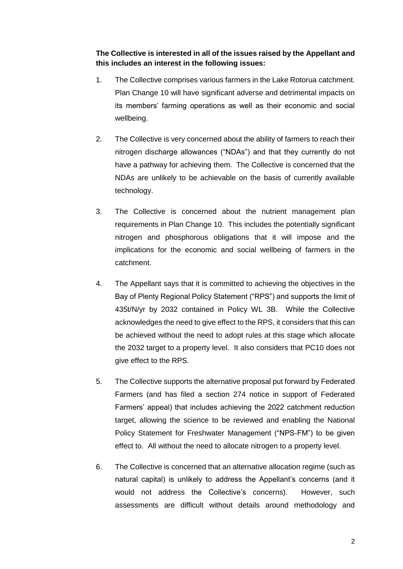**The Collective is interested in all of the issues raised by the Appellant and this includes an interest in the following issues:**

- 1. The Collective comprises various farmers in the Lake Rotorua catchment. Plan Change 10 will have significant adverse and detrimental impacts on its members' farming operations as well as their economic and social wellbeing.
- 2. The Collective is very concerned about the ability of farmers to reach their nitrogen discharge allowances ("NDAs") and that they currently do not have a pathway for achieving them. The Collective is concerned that the NDAs are unlikely to be achievable on the basis of currently available technology.
- 3. The Collective is concerned about the nutrient management plan requirements in Plan Change 10. This includes the potentially significant nitrogen and phosphorous obligations that it will impose and the implications for the economic and social wellbeing of farmers in the catchment.
- 4. The Appellant says that it is committed to achieving the objectives in the Bay of Plenty Regional Policy Statement ("RPS") and supports the limit of 435t/N/yr by 2032 contained in Policy WL 3B. While the Collective acknowledges the need to give effect to the RPS, it considers that this can be achieved without the need to adopt rules at this stage which allocate the 2032 target to a property level. It also considers that PC10 does not give effect to the RPS.
- 5. The Collective supports the alternative proposal put forward by Federated Farmers (and has filed a section 274 notice in support of Federated Farmers' appeal) that includes achieving the 2022 catchment reduction target, allowing the science to be reviewed and enabling the National Policy Statement for Freshwater Management ("NPS-FM") to be given effect to. All without the need to allocate nitrogen to a property level.
- 6. The Collective is concerned that an alternative allocation regime (such as natural capital) is unlikely to address the Appellant's concerns (and it would not address the Collective's concerns). However, such assessments are difficult without details around methodology and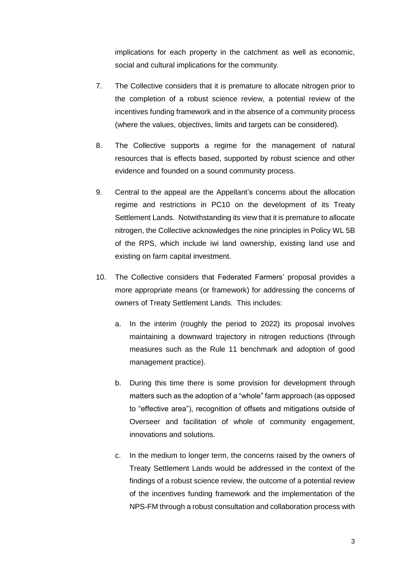implications for each property in the catchment as well as economic, social and cultural implications for the community.

- 7. The Collective considers that it is premature to allocate nitrogen prior to the completion of a robust science review, a potential review of the incentives funding framework and in the absence of a community process (where the values, objectives, limits and targets can be considered).
- 8. The Collective supports a regime for the management of natural resources that is effects based, supported by robust science and other evidence and founded on a sound community process.
- 9. Central to the appeal are the Appellant's concerns about the allocation regime and restrictions in PC10 on the development of its Treaty Settlement Lands. Notwithstanding its view that it is premature to allocate nitrogen, the Collective acknowledges the nine principles in Policy WL 5B of the RPS, which include iwi land ownership, existing land use and existing on farm capital investment.
- 10. The Collective considers that Federated Farmers' proposal provides a more appropriate means (or framework) for addressing the concerns of owners of Treaty Settlement Lands. This includes:
	- a. In the interim (roughly the period to 2022) its proposal involves maintaining a downward trajectory in nitrogen reductions (through measures such as the Rule 11 benchmark and adoption of good management practice).
	- b. During this time there is some provision for development through matters such as the adoption of a "whole" farm approach (as opposed to "effective area"), recognition of offsets and mitigations outside of Overseer and facilitation of whole of community engagement, innovations and solutions.
	- c. In the medium to longer term, the concerns raised by the owners of Treaty Settlement Lands would be addressed in the context of the findings of a robust science review, the outcome of a potential review of the incentives funding framework and the implementation of the NPS-FM through a robust consultation and collaboration process with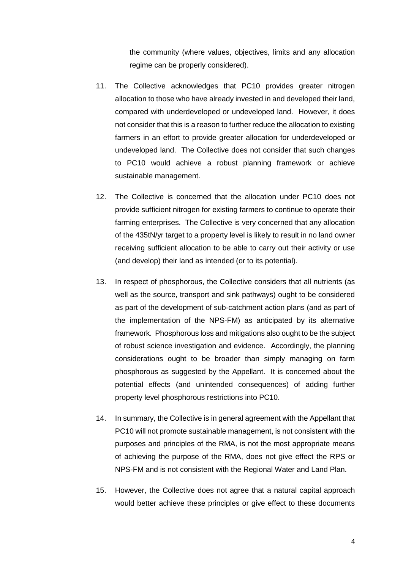the community (where values, objectives, limits and any allocation regime can be properly considered).

- 11. The Collective acknowledges that PC10 provides greater nitrogen allocation to those who have already invested in and developed their land, compared with underdeveloped or undeveloped land. However, it does not consider that this is a reason to further reduce the allocation to existing farmers in an effort to provide greater allocation for underdeveloped or undeveloped land. The Collective does not consider that such changes to PC10 would achieve a robust planning framework or achieve sustainable management.
- 12. The Collective is concerned that the allocation under PC10 does not provide sufficient nitrogen for existing farmers to continue to operate their farming enterprises. The Collective is very concerned that any allocation of the 435tN/yr target to a property level is likely to result in no land owner receiving sufficient allocation to be able to carry out their activity or use (and develop) their land as intended (or to its potential).
- 13. In respect of phosphorous, the Collective considers that all nutrients (as well as the source, transport and sink pathways) ought to be considered as part of the development of sub-catchment action plans (and as part of the implementation of the NPS-FM) as anticipated by its alternative framework. Phosphorous loss and mitigations also ought to be the subject of robust science investigation and evidence. Accordingly, the planning considerations ought to be broader than simply managing on farm phosphorous as suggested by the Appellant. It is concerned about the potential effects (and unintended consequences) of adding further property level phosphorous restrictions into PC10.
- 14. In summary, the Collective is in general agreement with the Appellant that PC10 will not promote sustainable management, is not consistent with the purposes and principles of the RMA, is not the most appropriate means of achieving the purpose of the RMA, does not give effect the RPS or NPS-FM and is not consistent with the Regional Water and Land Plan.
- 15. However, the Collective does not agree that a natural capital approach would better achieve these principles or give effect to these documents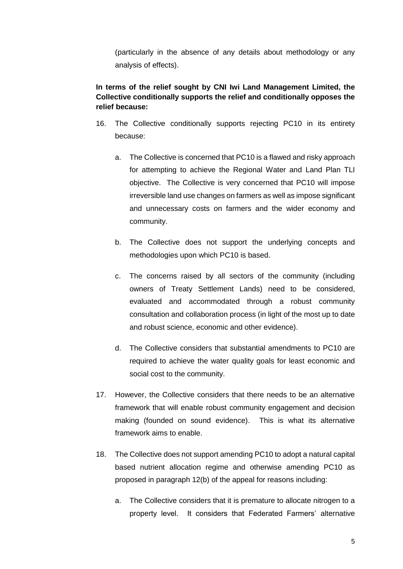(particularly in the absence of any details about methodology or any analysis of effects).

## **In terms of the relief sought by CNI Iwi Land Management Limited, the Collective conditionally supports the relief and conditionally opposes the relief because:**

- 16. The Collective conditionally supports rejecting PC10 in its entirety because:
	- a. The Collective is concerned that PC10 is a flawed and risky approach for attempting to achieve the Regional Water and Land Plan TLI objective. The Collective is very concerned that PC10 will impose irreversible land use changes on farmers as well as impose significant and unnecessary costs on farmers and the wider economy and community.
	- b. The Collective does not support the underlying concepts and methodologies upon which PC10 is based.
	- c. The concerns raised by all sectors of the community (including owners of Treaty Settlement Lands) need to be considered, evaluated and accommodated through a robust community consultation and collaboration process (in light of the most up to date and robust science, economic and other evidence).
	- d. The Collective considers that substantial amendments to PC10 are required to achieve the water quality goals for least economic and social cost to the community.
- 17. However, the Collective considers that there needs to be an alternative framework that will enable robust community engagement and decision making (founded on sound evidence). This is what its alternative framework aims to enable.
- 18. The Collective does not support amending PC10 to adopt a natural capital based nutrient allocation regime and otherwise amending PC10 as proposed in paragraph 12(b) of the appeal for reasons including:
	- a. The Collective considers that it is premature to allocate nitrogen to a property level. It considers that Federated Farmers' alternative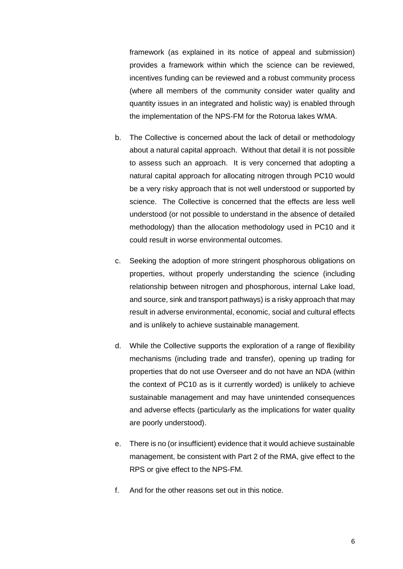framework (as explained in its notice of appeal and submission) provides a framework within which the science can be reviewed, incentives funding can be reviewed and a robust community process (where all members of the community consider water quality and quantity issues in an integrated and holistic way) is enabled through the implementation of the NPS-FM for the Rotorua lakes WMA.

- b. The Collective is concerned about the lack of detail or methodology about a natural capital approach. Without that detail it is not possible to assess such an approach. It is very concerned that adopting a natural capital approach for allocating nitrogen through PC10 would be a very risky approach that is not well understood or supported by science. The Collective is concerned that the effects are less well understood (or not possible to understand in the absence of detailed methodology) than the allocation methodology used in PC10 and it could result in worse environmental outcomes.
- c. Seeking the adoption of more stringent phosphorous obligations on properties, without properly understanding the science (including relationship between nitrogen and phosphorous, internal Lake load, and source, sink and transport pathways) is a risky approach that may result in adverse environmental, economic, social and cultural effects and is unlikely to achieve sustainable management.
- d. While the Collective supports the exploration of a range of flexibility mechanisms (including trade and transfer), opening up trading for properties that do not use Overseer and do not have an NDA (within the context of PC10 as is it currently worded) is unlikely to achieve sustainable management and may have unintended consequences and adverse effects (particularly as the implications for water quality are poorly understood).
- e. There is no (or insufficient) evidence that it would achieve sustainable management, be consistent with Part 2 of the RMA, give effect to the RPS or give effect to the NPS-FM.
- f. And for the other reasons set out in this notice.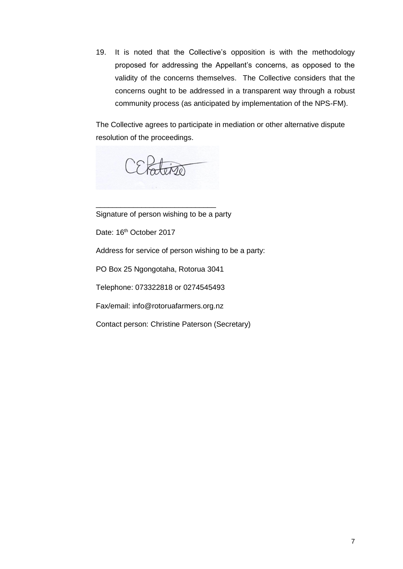19. It is noted that the Collective's opposition is with the methodology proposed for addressing the Appellant's concerns, as opposed to the validity of the concerns themselves. The Collective considers that the concerns ought to be addressed in a transparent way through a robust community process (as anticipated by implementation of the NPS-FM).

The Collective agrees to participate in mediation or other alternative dispute resolution of the proceedings.

CEPaterso

Signature of person wishing to be a party

\_\_\_\_\_\_\_\_\_\_\_\_\_\_\_\_\_\_\_\_\_\_\_\_\_\_\_\_\_

Date: 16<sup>th</sup> October 2017

Address for service of person wishing to be a party:

PO Box 25 Ngongotaha, Rotorua 3041

Telephone: 073322818 or 0274545493

Fax/email: info@rotoruafarmers.org.nz

Contact person: Christine Paterson (Secretary)